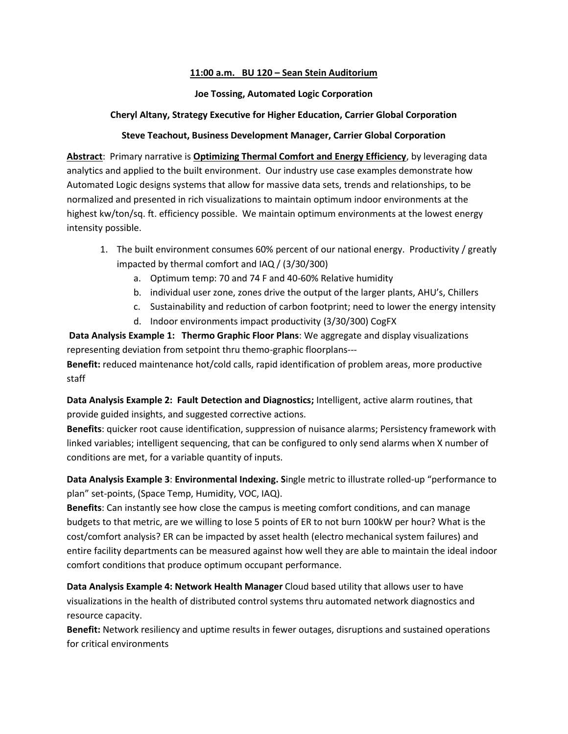## **11:00 a.m. BU 120 – Sean Stein Auditorium**

## **Joe Tossing, Automated Logic Corporation**

## **Cheryl Altany, Strategy Executive for Higher Education, Carrier Global Corporation**

## **Steve Teachout, Business Development Manager, Carrier Global Corporation**

**Abstract**: Primary narrative is **Optimizing Thermal Comfort and Energy Efficiency**, by leveraging data analytics and applied to the built environment. Our industry use case examples demonstrate how Automated Logic designs systems that allow for massive data sets, trends and relationships, to be normalized and presented in rich visualizations to maintain optimum indoor environments at the highest kw/ton/sq. ft. efficiency possible. We maintain optimum environments at the lowest energy intensity possible.

- 1. The built environment consumes 60% percent of our national energy. Productivity / greatly impacted by thermal comfort and IAQ / (3/30/300)
	- a. Optimum temp: 70 and 74 F and 40-60% Relative humidity
	- b. individual user zone, zones drive the output of the larger plants, AHU's, Chillers
	- c. Sustainability and reduction of carbon footprint; need to lower the energy intensity
	- d. Indoor environments impact productivity (3/30/300) CogFX

**Data Analysis Example 1: Thermo Graphic Floor Plans**: We aggregate and display visualizations representing deviation from setpoint thru themo-graphic floorplans--- **Benefit:** reduced maintenance hot/cold calls, rapid identification of problem areas, more productive staff

**Data Analysis Example 2: Fault Detection and Diagnostics;** Intelligent, active alarm routines, that provide guided insights, and suggested corrective actions.

**Benefits**: quicker root cause identification, suppression of nuisance alarms; Persistency framework with linked variables; intelligent sequencing, that can be configured to only send alarms when X number of conditions are met, for a variable quantity of inputs.

**Data Analysis Example 3**: **Environmental Indexing. S**ingle metric to illustrate rolled-up "performance to plan" set-points, (Space Temp, Humidity, VOC, IAQ).

**Benefits**: Can instantly see how close the campus is meeting comfort conditions, and can manage budgets to that metric, are we willing to lose 5 points of ER to not burn 100kW per hour? What is the cost/comfort analysis? ER can be impacted by asset health (electro mechanical system failures) and entire facility departments can be measured against how well they are able to maintain the ideal indoor comfort conditions that produce optimum occupant performance.

**Data Analysis Example 4: Network Health Manager** Cloud based utility that allows user to have visualizations in the health of distributed control systems thru automated network diagnostics and resource capacity.

**Benefit:** Network resiliency and uptime results in fewer outages, disruptions and sustained operations for critical environments